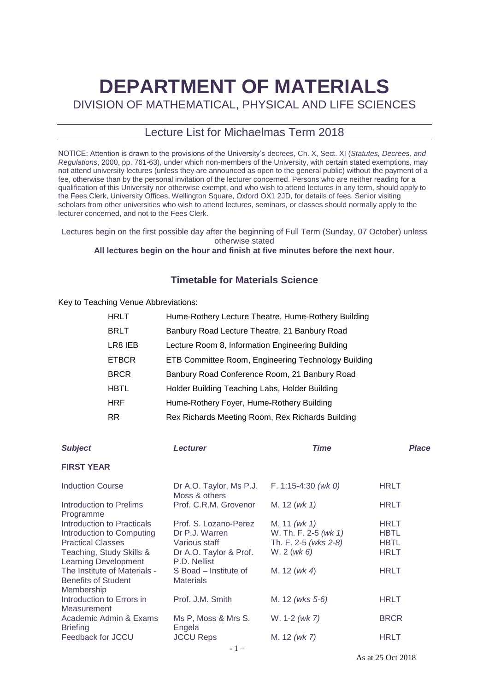# **DEPARTMENT OF MATERIALS**

DIVISION OF MATHEMATICAL, PHYSICAL AND LIFE SCIENCES

# Lecture List for Michaelmas Term 2018

NOTICE: Attention is drawn to the provisions of the University's decrees, Ch. X, Sect. XI (*Statutes, Decrees, and Regulations*, 2000, pp. 761-63), under which non-members of the University, with certain stated exemptions, may not attend university lectures (unless they are announced as open to the general public) without the payment of a fee, otherwise than by the personal invitation of the lecturer concerned. Persons who are neither reading for a qualification of this University nor otherwise exempt, and who wish to attend lectures in any term, should apply to the Fees Clerk, University Offices, Wellington Square, Oxford OX1 2JD, for details of fees. Senior visiting scholars from other universities who wish to attend lectures, seminars, or classes should normally apply to the lecturer concerned, and not to the Fees Clerk.

Lectures begin on the first possible day after the beginning of Full Term (Sunday, 07 October) unless otherwise stated

## **All lectures begin on the hour and finish at five minutes before the next hour.**

## **Timetable for Materials Science**

Key to Teaching Venue Abbreviations:

| <b>HRLT</b>  | Hume-Rothery Lecture Theatre, Hume-Rothery Building |
|--------------|-----------------------------------------------------|
| <b>BRLT</b>  | Banbury Road Lecture Theatre, 21 Banbury Road       |
| LR8 IEB      | Lecture Room 8, Information Engineering Building    |
| <b>ETBCR</b> | ETB Committee Room, Engineering Technology Building |
| <b>BRCR</b>  | Banbury Road Conference Room, 21 Banbury Road       |
| <b>HBTL</b>  | Holder Building Teaching Labs, Holder Building      |
| <b>HRF</b>   | Hume-Rothery Foyer, Hume-Rothery Building           |
| RR.          | Rex Richards Meeting Room, Rex Richards Building    |

| <b>Subject</b>                                                           | <b>Lecturer</b>                           | <b>Time</b>          | <b>Place</b> |
|--------------------------------------------------------------------------|-------------------------------------------|----------------------|--------------|
| <b>FIRST YEAR</b>                                                        |                                           |                      |              |
| <b>Induction Course</b>                                                  | Dr A.O. Taylor, Ms P.J.<br>Moss & others  | F. 1:15-4:30 (wk 0)  | <b>HRLT</b>  |
| Introduction to Prelims<br>Programme                                     | Prof. C.R.M. Grovenor                     | M. 12 (wk 1)         | HRLT         |
| Introduction to Practicals                                               | Prof. S. Lozano-Perez                     | M. 11 (wk 1)         | <b>HRLT</b>  |
| Introduction to Computing                                                | Dr P.J. Warren                            | W. Th. F. 2-5 (wk 1) | <b>HBTL</b>  |
| <b>Practical Classes</b>                                                 | Various staff                             | Th. F. 2-5 (wks 2-8) | <b>HBTL</b>  |
| Teaching, Study Skills &<br><b>Learning Development</b>                  | Dr A.O. Taylor & Prof.<br>P.D. Nellist    | W. 2 (wk 6)          | <b>HRLT</b>  |
| The Institute of Materials -<br><b>Benefits of Student</b><br>Membership | S Boad - Institute of<br><b>Materials</b> | M. 12 ( $wk$ 4)      | <b>HRLT</b>  |
| Introduction to Errors in<br>Measurement                                 | Prof. J.M. Smith                          | M. 12 (wks 5-6)      | HRLT         |
| Academic Admin & Exams<br><b>Briefing</b>                                | Ms P, Moss & Mrs S.<br>Engela             | W. 1-2 (wk 7)        | <b>BRCR</b>  |
| Feedback for JCCU                                                        | <b>JCCU Reps</b>                          | M. 12 (wk 7)         | <b>HRLT</b>  |
|                                                                          | $-1-$                                     |                      |              |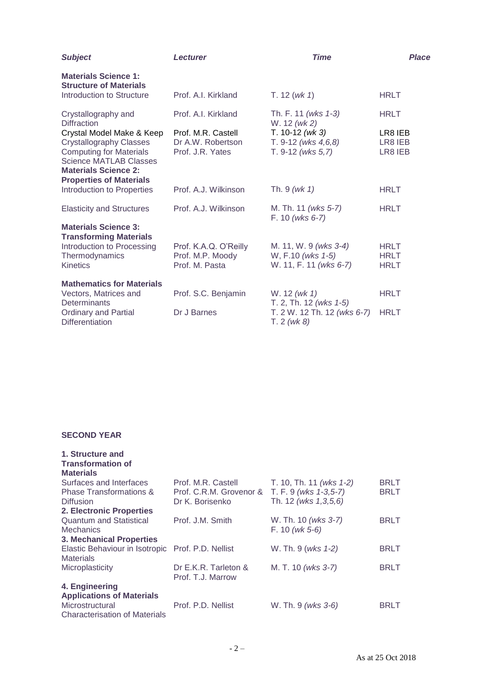| <b>Subject</b>                                                                                                                                                                                  | <b>Lecturer</b>                                             | <b>Time</b>                                                          | Place                                     |
|-------------------------------------------------------------------------------------------------------------------------------------------------------------------------------------------------|-------------------------------------------------------------|----------------------------------------------------------------------|-------------------------------------------|
| <b>Materials Science 1:</b><br><b>Structure of Materials</b>                                                                                                                                    |                                                             |                                                                      |                                           |
| Introduction to Structure                                                                                                                                                                       | Prof. A.I. Kirkland                                         | T. 12 (wk 1)                                                         | <b>HRLT</b>                               |
| Crystallography and<br><b>Diffraction</b>                                                                                                                                                       | Prof. A.I. Kirkland                                         | Th. F. 11 (wks 1-3)<br>W. 12 (wk 2)                                  | <b>HRLT</b>                               |
| Crystal Model Make & Keep<br><b>Crystallography Classes</b><br><b>Computing for Materials</b><br><b>Science MATLAB Classes</b><br><b>Materials Science 2:</b><br><b>Properties of Materials</b> | Prof. M.R. Castell<br>Dr A.W. Robertson<br>Prof. J.R. Yates | T. $10-12$ (wk 3)<br>T. $9-12$ (wks $4,6,8$ )<br>T. 9-12 (wks 5,7)   | LR8 IEB<br>LR8 IEB<br>LR8 IEB             |
| Introduction to Properties                                                                                                                                                                      | Prof. A.J. Wilkinson                                        | Th. $9 (wk 1)$                                                       | <b>HRLT</b>                               |
| <b>Elasticity and Structures</b>                                                                                                                                                                | Prof. A.J. Wilkinson                                        | M. Th. 11 (wks 5-7)<br>F. 10 (wks 6-7)                               | <b>HRLT</b>                               |
| <b>Materials Science 3:</b><br><b>Transforming Materials</b>                                                                                                                                    |                                                             |                                                                      |                                           |
| Introduction to Processing<br>Thermodynamics<br><b>Kinetics</b>                                                                                                                                 | Prof. K.A.Q. O'Reilly<br>Prof. M.P. Moody<br>Prof. M. Pasta | M. 11, W. 9 (wks 3-4)<br>W, F.10 (wks 1-5)<br>W. 11, F. 11 (wks 6-7) | <b>HRLT</b><br><b>HRLT</b><br><b>HRLT</b> |
| <b>Mathematics for Materials</b>                                                                                                                                                                |                                                             |                                                                      |                                           |
| Vectors, Matrices and<br>Determinants                                                                                                                                                           | Prof. S.C. Benjamin                                         | W. 12 (wk 1)<br>T. 2, Th. 12 (wks 1-5)                               | <b>HRLT</b>                               |
| <b>Ordinary and Partial</b><br><b>Differentiation</b>                                                                                                                                           | Dr J Barnes                                                 | T. 2 W. 12 Th. 12 (wks 6-7)<br>T. 2 (wk 8)                           | <b>HRLT</b>                               |

#### **SECOND YEAR**

| 1. Structure and<br><b>Transformation of</b><br><b>Materials</b> |                                           |                         |             |
|------------------------------------------------------------------|-------------------------------------------|-------------------------|-------------|
| Surfaces and Interfaces                                          | Prof. M.R. Castell                        | T. 10, Th. 11 (wks 1-2) | <b>BRLT</b> |
| <b>Phase Transformations &amp;</b>                               | Prof. C.R.M. Grovenor &                   | T. F. 9 (wks 1-3,5-7)   | <b>BRLT</b> |
| <b>Diffusion</b>                                                 | Dr K. Borisenko                           | Th. 12 (wks 1,3,5,6)    |             |
| <b>2. Electronic Properties</b>                                  |                                           |                         |             |
| <b>Quantum and Statistical</b>                                   | Prof. J.M. Smith                          | W. Th. 10 (wks 3-7)     | <b>BRLT</b> |
| <b>Mechanics</b>                                                 |                                           | $F. 10 (wk 5-6)$        |             |
| <b>3. Mechanical Properties</b>                                  |                                           |                         |             |
| Elastic Behaviour in Isotropic Prof. P.D. Nellist                |                                           | W. Th. 9 (wks 1-2)      | <b>BRLT</b> |
| <b>Materials</b>                                                 |                                           |                         |             |
| Microplasticity                                                  | Dr E.K.R. Tarleton &<br>Prof. T.J. Marrow | M. T. 10 (wks 3-7)      | <b>BRLT</b> |
| 4. Engineering                                                   |                                           |                         |             |
| <b>Applications of Materials</b>                                 |                                           |                         |             |
| Microstructural                                                  | Prof. P.D. Nellist                        | W. Th. 9 (wks 3-6)      | <b>BRLT</b> |
| <b>Characterisation of Materials</b>                             |                                           |                         |             |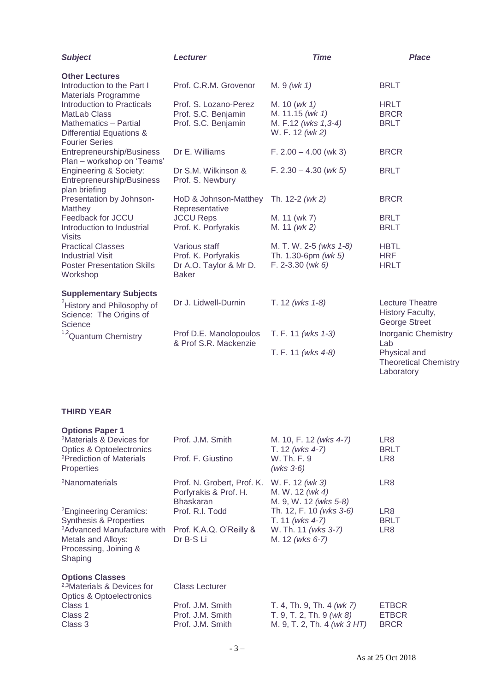| <b>Subject</b>                                                                                                                                                | <b>Lecturer</b>                                                                | <b>Time</b>                                                               | <b>Place</b>                                                       |
|---------------------------------------------------------------------------------------------------------------------------------------------------------------|--------------------------------------------------------------------------------|---------------------------------------------------------------------------|--------------------------------------------------------------------|
| <b>Other Lectures</b><br>Introduction to the Part I                                                                                                           | Prof. C.R.M. Grovenor                                                          | $M.9$ (wk 1)                                                              | <b>BRLT</b>                                                        |
| <b>Materials Programme</b><br>Introduction to Practicals<br>MatLab Class<br><b>Mathematics - Partial</b><br>Differential Equations &<br><b>Fourier Series</b> | Prof. S. Lozano-Perez<br>Prof. S.C. Benjamin<br>Prof. S.C. Benjamin            | M. 10 (wk 1)<br>M. 11.15 (wk 1)<br>M. F.12 (wks 1,3-4)<br>W. F. 12 (wk 2) | <b>HRLT</b><br><b>BRCR</b><br><b>BRLT</b>                          |
| Entrepreneurship/Business<br>Plan - workshop on 'Teams'                                                                                                       | Dr E. Williams                                                                 | $F. 2.00 - 4.00$ (wk 3)                                                   | <b>BRCR</b>                                                        |
| <b>Engineering &amp; Society:</b><br>Entrepreneurship/Business<br>plan briefing                                                                               | Dr S.M. Wilkinson &<br>Prof. S. Newbury                                        | $F. 2.30 - 4.30$ ( <i>wk 5</i> )                                          | <b>BRLT</b>                                                        |
| Presentation by Johnson-<br>Matthey                                                                                                                           | HoD & Johnson-Matthey<br>Representative                                        | Th. 12-2 (wk 2)                                                           | <b>BRCR</b>                                                        |
| Feedback for JCCU<br>Introduction to Industrial<br><b>Visits</b>                                                                                              | <b>JCCU Reps</b><br>Prof. K. Porfyrakis                                        | M. 11 (wk 7)<br>M. 11 (wk 2)                                              | <b>BRLT</b><br><b>BRLT</b>                                         |
| <b>Practical Classes</b><br><b>Industrial Visit</b><br><b>Poster Presentation Skills</b><br>Workshop                                                          | Various staff<br>Prof. K. Porfyrakis<br>Dr A.O. Taylor & Mr D.<br><b>Baker</b> | M. T. W. 2-5 (wks 1-8)<br>Th. 1.30-6pm $(wk 5)$<br>$F. 2 - 3.30$ (wk 6)   | <b>HBTL</b><br><b>HRF</b><br><b>HRLT</b>                           |
| <b>Supplementary Subjects</b>                                                                                                                                 |                                                                                |                                                                           |                                                                    |
| <sup>2</sup> History and Philosophy of<br>Science: The Origins of<br>Science                                                                                  | Dr J. Lidwell-Durnin                                                           | T. 12 (wks 1-8)                                                           | <b>Lecture Theatre</b><br>History Faculty,<br><b>George Street</b> |
| $1,2$ Quantum Chemistry                                                                                                                                       | Prof D.E. Manolopoulos<br>& Prof S.R. Mackenzie                                | T. F. 11 (wks 1-3)                                                        | <b>Inorganic Chemistry</b><br>Lab                                  |
|                                                                                                                                                               |                                                                                | T. F. 11 (wks 4-8)                                                        | Physical and<br><b>Theoretical Chemistry</b><br>Laboratory         |

### **THIRD YEAR**

| <b>Options Paper 1</b>                                                                           |                                                                         |                                                             |                    |
|--------------------------------------------------------------------------------------------------|-------------------------------------------------------------------------|-------------------------------------------------------------|--------------------|
| <sup>2</sup> Materials & Devices for<br><b>Optics &amp; Optoelectronics</b>                      | Prof. J.M. Smith                                                        | M. 10, F. 12 (wks 4-7)<br>T. 12 (wks 4-7)                   | LR8<br><b>BRLT</b> |
| <sup>2</sup> Prediction of Materials<br><b>Properties</b>                                        | Prof. F. Giustino                                                       | W. Th. F. 9<br>$(wks 3-6)$                                  | LR8                |
| <sup>2</sup> Nanomaterials                                                                       | Prof. N. Grobert, Prof. K.<br>Porfyrakis & Prof. H.<br><b>Bhaskaran</b> | W. F. 12 (wk 3)<br>M. W. 12 (wk 4)<br>M. 9, W. 12 (wks 5-8) | LR8                |
| <sup>2</sup> Engineering Ceramics:                                                               | Prof. R.I. Todd                                                         | Th. 12, F. 10 (wks 3-6)                                     | LR8                |
| <b>Synthesis &amp; Properties</b>                                                                |                                                                         | T. 11 (wks 4-7)                                             | <b>BRLT</b>        |
| <sup>2</sup> Advanced Manufacture with<br>Metals and Alloys:<br>Processing, Joining &<br>Shaping | Prof. K.A.Q. O'Reilly &<br>Dr B-S Li                                    | W. Th. 11 (wks 3-7)<br>M. 12 (wks 6-7)                      | LR8                |
| <b>Options Classes</b>                                                                           |                                                                         |                                                             |                    |
| <sup>2,3</sup> Materials & Devices for                                                           | <b>Class Lecturer</b>                                                   |                                                             |                    |
| <b>Optics &amp; Optoelectronics</b>                                                              |                                                                         |                                                             |                    |
| Class 1                                                                                          | Prof. J.M. Smith                                                        | T. 4, Th. 9, Th. 4 (wk 7)                                   | <b>ETBCR</b>       |
| Class 2                                                                                          | Prof. J.M. Smith                                                        | T. 9, T. 2, Th. 9 $(wk 8)$                                  | <b>ETBCR</b>       |
| Class 3                                                                                          | Prof. J.M. Smith                                                        | M. 9, T. 2, Th. 4 <i>(wk 3 HT)</i>                          | <b>BRCR</b>        |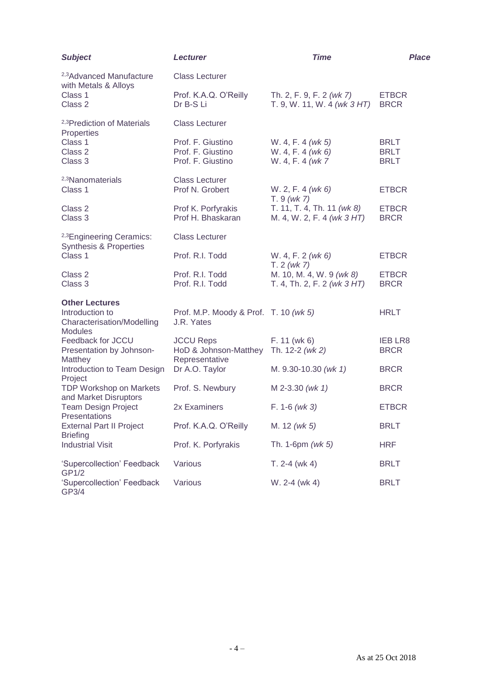| <b>Subject</b>                                                                                  | <b>Lecturer</b>                                                             | <b>Time</b>                                                 | Place                                     |
|-------------------------------------------------------------------------------------------------|-----------------------------------------------------------------------------|-------------------------------------------------------------|-------------------------------------------|
| <sup>2,3</sup> Advanced Manufacture                                                             | <b>Class Lecturer</b>                                                       |                                                             |                                           |
| with Metals & Alloys<br>Class 1<br>Class 2                                                      | Prof. K.A.Q. O'Reilly<br>Dr B-S Li                                          | Th. 2, F. 9, F. 2 (wk 7)<br>T. 9, W. 11, W. 4 (wk 3 HT)     | <b>ETBCR</b><br><b>BRCR</b>               |
| <sup>2,3</sup> Prediction of Materials<br>Properties                                            | <b>Class Lecturer</b>                                                       |                                                             |                                           |
| Class 1<br>Class 2<br>Class 3                                                                   | Prof. F. Giustino<br>Prof. F. Giustino<br>Prof. F. Giustino                 | W. 4, F. 4 (wk 5)<br>W. 4, F. 4 (wk 6)<br>W. 4, F. 4 (wk 7) | <b>BRLT</b><br><b>BRLT</b><br><b>BRLT</b> |
| <sup>2,3</sup> Nanomaterials<br>Class 1                                                         | <b>Class Lecturer</b><br>Prof N. Grobert                                    | W. 2, F. 4 (wk 6)<br>$T.9$ (wk 7)                           | <b>ETBCR</b>                              |
| Class 2<br>Class 3                                                                              | Prof K. Porfyrakis<br>Prof H. Bhaskaran                                     | T. 11, T. 4, Th. 11 (wk 8)<br>M. 4, W. 2, F. 4 (wk 3 HT)    | <b>ETBCR</b><br><b>BRCR</b>               |
| <sup>2,3</sup> Engineering Ceramics:<br><b>Synthesis &amp; Properties</b>                       | <b>Class Lecturer</b>                                                       |                                                             |                                           |
| Class 1                                                                                         | Prof. R.I. Todd                                                             | W. 4, F. 2 (wk 6)<br>T. 2 (wk 7)                            | <b>ETBCR</b>                              |
| Class 2<br>Class 3                                                                              | Prof. R.I. Todd<br>Prof. R.I. Todd                                          | M. 10, M. 4, W. 9 (wk 8)<br>T. 4, Th. 2, F. 2 (wk 3 HT)     | <b>ETBCR</b><br><b>BRCR</b>               |
| <b>Other Lectures</b><br>Introduction to<br><b>Characterisation/Modelling</b><br><b>Modules</b> | Prof. M.P. Moody & Prof. T. 10 (wk 5)<br>J.R. Yates                         |                                                             | <b>HRLT</b>                               |
| Feedback for JCCU<br>Presentation by Johnson-<br>Matthey                                        | <b>JCCU Reps</b><br>HoD & Johnson-Matthey Th. 12-2 (wk 2)<br>Representative | $F. 11$ (wk 6)                                              | <b>IEB LR8</b><br><b>BRCR</b>             |
| Introduction to Team Design<br>Project                                                          | Dr A.O. Taylor                                                              | M. 9.30-10.30 (wk 1)                                        | <b>BRCR</b>                               |
| <b>TDP Workshop on Markets</b><br>and Market Disruptors                                         | Prof. S. Newbury                                                            | M 2-3.30 (wk 1)                                             | <b>BRCR</b>                               |
| <b>Team Design Project</b><br>Presentations                                                     | 2x Examiners                                                                | $F. 1-6$ (wk 3)                                             | <b>ETBCR</b>                              |
| <b>External Part II Project</b>                                                                 | Prof. K.A.Q. O'Reilly                                                       | M. 12 (wk 5)                                                | <b>BRLT</b>                               |
| <b>Briefing</b><br><b>Industrial Visit</b>                                                      | Prof. K. Porfyrakis                                                         | Th. 1-6pm $(wk 5)$                                          | <b>HRF</b>                                |
| 'Supercollection' Feedback<br>GP1/2                                                             | Various                                                                     | $T. 2-4$ (wk 4)                                             | <b>BRLT</b>                               |
| 'Supercollection' Feedback<br>GP3/4                                                             | Various                                                                     | W. 2-4 (wk 4)                                               | <b>BRLT</b>                               |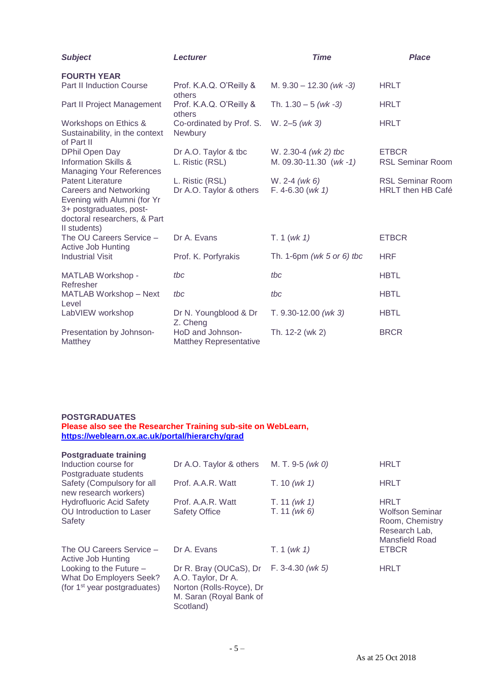| <b>Subject</b>                                                                                                                                                      | <b>Lecturer</b>                                   | <b>Time</b>                                     | <b>Place</b>                                        |
|---------------------------------------------------------------------------------------------------------------------------------------------------------------------|---------------------------------------------------|-------------------------------------------------|-----------------------------------------------------|
| <b>FOURTH YEAR</b>                                                                                                                                                  |                                                   |                                                 |                                                     |
| <b>Part II Induction Course</b>                                                                                                                                     | Prof. K.A.Q. O'Reilly &<br>others                 | M. $9.30 - 12.30$ (wk -3)                       | <b>HRLT</b>                                         |
| Part II Project Management                                                                                                                                          | Prof. K.A.Q. O'Reilly &<br>others                 | Th. $1.30 - 5$ (wk -3)                          | <b>HRLT</b>                                         |
| Workshops on Ethics &<br>Sustainability, in the context<br>of Part II                                                                                               | Co-ordinated by Prof. S.<br>Newbury               | $W. 2-5 (wk 3)$                                 | <b>HRLT</b>                                         |
| DPhil Open Day<br><b>Information Skills &amp;</b><br><b>Managing Your References</b>                                                                                | Dr A.O. Taylor & tbc<br>L. Ristic (RSL)           | W. 2.30-4 $(wk 2)$ tbc<br>M. 09.30-11.30 (wk-1) | <b>ETBCR</b><br><b>RSL Seminar Room</b>             |
| <b>Patent Literature</b><br><b>Careers and Networking</b><br>Evening with Alumni (for Yr<br>3+ postgraduates, post-<br>doctoral researchers, & Part<br>II students) | L. Ristic (RSL)<br>Dr A.O. Taylor & others        | $W. 2-4 (wk 6)$<br>$F. 4-6.30 (wk 1)$           | <b>RSL Seminar Room</b><br><b>HRLT then HB Café</b> |
| The OU Careers Service -<br><b>Active Job Hunting</b>                                                                                                               | Dr A. Evans                                       | T. 1 (wk 1)                                     | <b>ETBCR</b>                                        |
| <b>Industrial Visit</b>                                                                                                                                             | Prof. K. Porfyrakis                               | Th. 1-6pm (wk 5 or 6) tbc                       | <b>HRF</b>                                          |
| <b>MATLAB Workshop -</b><br>Refresher                                                                                                                               | tbc                                               | tbc                                             | <b>HBTL</b>                                         |
| MATLAB Workshop - Next<br>Level                                                                                                                                     | tbc                                               | tbc                                             | <b>HBTL</b>                                         |
| LabVIEW workshop                                                                                                                                                    | Dr N. Youngblood & Dr<br>Z. Cheng                 | T. $9.30 - 12.00$ (wk 3)                        | <b>HBTL</b>                                         |
| Presentation by Johnson-<br>Matthey                                                                                                                                 | HoD and Johnson-<br><b>Matthey Representative</b> | Th. 12-2 (wk 2)                                 | <b>BRCR</b>                                         |

#### **POSTGRADUATES Please also see the Researcher Training sub-site on WebLearn, <https://weblearn.ox.ac.uk/portal/hierarchy/grad>**

| <b>Postgraduate training</b>                                                                     |                                                                                                                  |                     |                                                                       |
|--------------------------------------------------------------------------------------------------|------------------------------------------------------------------------------------------------------------------|---------------------|-----------------------------------------------------------------------|
| Induction course for<br>Postgraduate students                                                    | Dr A.O. Taylor & others                                                                                          | M. T. 9-5 ( $wk$ 0) | <b>HRLT</b>                                                           |
| Safety (Compulsory for all<br>new research workers)                                              | Prof. A.A.R. Watt                                                                                                | T. 10 (wk 1)        | <b>HRLT</b>                                                           |
| <b>Hydrofluoric Acid Safety</b>                                                                  | Prof. A.A.R. Watt                                                                                                | T. 11 (wk 1)        | <b>HRLT</b>                                                           |
| OU Introduction to Laser<br>Safety                                                               | <b>Safety Office</b>                                                                                             | T. 11 (wk 6)        | Wolfson Seminar<br>Room, Chemistry<br>Research Lab,<br>Mansfield Road |
| The OU Careers Service -<br>Active Job Hunting                                                   | Dr A. Evans                                                                                                      | T. 1 (wk 1)         | <b>ETBCR</b>                                                          |
| Looking to the Future $-$<br>What Do Employers Seek?<br>(for 1 <sup>st</sup> year postgraduates) | Dr R. Bray (OUCaS), Dr<br>A.O. Taylor, Dr A.<br>Norton (Rolls-Royce), Dr<br>M. Saran (Royal Bank of<br>Scotland) | $F. 3-4.30 (wk 5)$  | <b>HRLT</b>                                                           |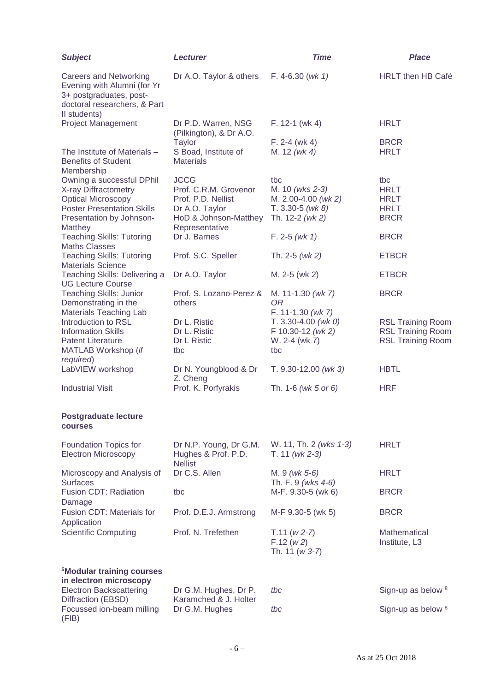| <b>Subject</b>                                                                                                                          | <b>Lecturer</b>                                                 | <b>Time</b>                                | <b>Place</b>                  |
|-----------------------------------------------------------------------------------------------------------------------------------------|-----------------------------------------------------------------|--------------------------------------------|-------------------------------|
| <b>Careers and Networking</b><br>Evening with Alumni (for Yr<br>3+ postgraduates, post-<br>doctoral researchers, & Part<br>Il students) | Dr A.O. Taylor & others                                         | F. 4-6.30 ( $wk$ 1)                        | <b>HRLT</b> then HB Café      |
| <b>Project Management</b>                                                                                                               | Dr P.D. Warren, NSG<br>(Pilkington), & Dr A.O.                  | $F. 12-1$ (wk 4)                           | <b>HRLT</b>                   |
|                                                                                                                                         | <b>Taylor</b>                                                   | $F. 2-4$ (wk 4)                            | <b>BRCR</b>                   |
| The Institute of Materials -<br><b>Benefits of Student</b><br>Membership                                                                | S Boad, Institute of<br><b>Materials</b>                        | M. 12 (wk 4)                               | <b>HRLT</b>                   |
| Owning a successful DPhil                                                                                                               | <b>JCCG</b>                                                     | tbc                                        | tbc                           |
| X-ray Diffractometry<br><b>Optical Microscopy</b>                                                                                       | Prof. C.R.M. Grovenor<br>Prof. P.D. Nellist                     | M. 10 (wks 2-3)<br>M. 2.00-4.00 (wk 2)     | <b>HRLT</b><br><b>HRLT</b>    |
| <b>Poster Presentation Skills</b>                                                                                                       | Dr A.O. Taylor                                                  | $T. 3.30-5$ (wk 8)                         | <b>HRLT</b>                   |
| Presentation by Johnson-<br><b>Matthey</b>                                                                                              | HoD & Johnson-Matthey<br>Representative                         | Th. 12-2 (wk 2)                            | <b>BRCR</b>                   |
| <b>Teaching Skills: Tutoring</b><br><b>Maths Classes</b>                                                                                | Dr J. Barnes                                                    | $F. 2-5$ (wk 1)                            | <b>BRCR</b>                   |
| <b>Teaching Skills: Tutoring</b><br><b>Materials Science</b>                                                                            | Prof. S.C. Speller                                              | Th. $2-5$ (wk 2)                           | <b>ETBCR</b>                  |
| Teaching Skills: Delivering a<br><b>UG Lecture Course</b>                                                                               | Dr A.O. Taylor                                                  | M. 2-5 (wk 2)                              | <b>ETBCR</b>                  |
| <b>Teaching Skills: Junior</b>                                                                                                          | Prof. S. Lozano-Perez &                                         | M. 11-1.30 (wk 7)                          | <b>BRCR</b>                   |
| Demonstrating in the<br><b>Materials Teaching Lab</b>                                                                                   | others                                                          | <b>OR</b><br>F. 11-1.30 (wk 7)             |                               |
| Introduction to RSL                                                                                                                     | Dr L. Ristic                                                    | $T. 3.30 - 4.00$ (wk 0)                    | <b>RSL Training Room</b>      |
| <b>Information Skills</b>                                                                                                               | Dr L. Ristic                                                    | F 10.30-12 (wk 2)                          | <b>RSL Training Room</b>      |
| <b>Patent Literature</b>                                                                                                                | Dr L Ristic                                                     | W. 2-4 (wk 7)                              | <b>RSL Training Room</b>      |
| MATLAB Workshop (if                                                                                                                     | tbc                                                             | tbc                                        |                               |
| required)                                                                                                                               |                                                                 |                                            |                               |
| LabVIEW workshop                                                                                                                        | Dr N. Youngblood & Dr<br>Z. Cheng                               | T. $9.30 - 12.00$ (wk 3)                   | <b>HBTL</b>                   |
| <b>Industrial Visit</b>                                                                                                                 | Prof. K. Porfyrakis                                             | Th. 1-6 (wk 5 or 6)                        | <b>HRF</b>                    |
| <b>Postgraduate lecture</b><br>courses                                                                                                  |                                                                 |                                            |                               |
| Foundation Topics for<br><b>Electron Microscopy</b>                                                                                     | Dr N.P. Young, Dr G.M.<br>Hughes & Prof. P.D.<br><b>Nellist</b> | W. 11, Th. 2 (wks 1-3)<br>$T. 11 (wk 2-3)$ | <b>HRLT</b>                   |
| Microscopy and Analysis of<br><b>Surfaces</b>                                                                                           | Dr C.S. Allen                                                   | M. 9 (wk 5-6)<br>Th. F. 9 (wks 4-6)        | <b>HRLT</b>                   |
| <b>Fusion CDT: Radiation</b><br>Damage                                                                                                  | tbc                                                             | M-F. 9.30-5 (wk 6)                         | <b>BRCR</b>                   |
| Fusion CDT: Materials for<br>Application                                                                                                | Prof. D.E.J. Armstrong                                          | M-F 9.30-5 (wk 5)                          | <b>BRCR</b>                   |
| <b>Scientific Computing</b>                                                                                                             | Prof. N. Trefethen                                              | $T.11(w2-7)$<br>F.12(w2)<br>Th. 11 (w 3-7) | Mathematical<br>Institute, L3 |
| <sup>5</sup> Modular training courses                                                                                                   |                                                                 |                                            |                               |
| in electron microscopy<br><b>Electron Backscattering</b>                                                                                | Dr G.M. Hughes, Dr P.                                           | tbc                                        | Sign-up as below 8            |
| Diffraction (EBSD)<br>Focussed ion-beam milling                                                                                         | Karamched & J. Holter<br>Dr G.M. Hughes                         | tbc                                        | Sign-up as below 8            |
| (FIB)                                                                                                                                   |                                                                 |                                            |                               |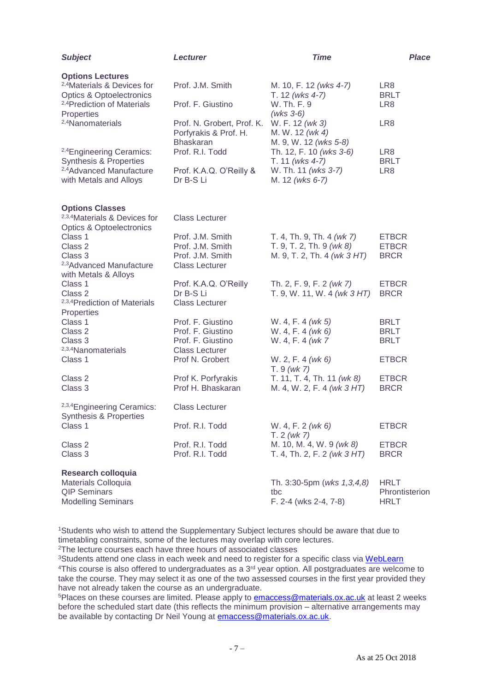| <b>Subject</b>                                                                                                                                     | <b>Lecturer</b>                                                         | <b>Time</b>                                                                | Place                                        |
|----------------------------------------------------------------------------------------------------------------------------------------------------|-------------------------------------------------------------------------|----------------------------------------------------------------------------|----------------------------------------------|
| <b>Options Lectures</b><br><sup>2,4</sup> Materials & Devices for<br><b>Optics &amp; Optoelectronics</b><br><sup>2,4</sup> Prediction of Materials | Prof. J.M. Smith<br>Prof. F. Giustino                                   | M. 10, F. 12 (wks 4-7)<br>T. 12 (wks 4-7)<br>W. Th. F. 9                   | LR8<br><b>BRLT</b><br>LR <sub>8</sub>        |
| Properties<br><sup>2,4</sup> Nanomaterials                                                                                                         | Prof. N. Grobert, Prof. K.<br>Porfyrakis & Prof. H.<br><b>Bhaskaran</b> | $(wks 3-6)$<br>W. F. 12 (wk 3)<br>M. W. 12 (wk 4)<br>M. 9, W. 12 (wks 5-8) | LR <sub>8</sub>                              |
| <sup>2,4</sup> Engineering Ceramics:<br><b>Synthesis &amp; Properties</b>                                                                          | Prof. R.I. Todd                                                         | Th. 12, F. 10 (wks 3-6)<br>T. 11 (wks 4-7)                                 | LR <sub>8</sub><br><b>BRLT</b>               |
| <sup>2,4</sup> Advanced Manufacture<br>with Metals and Alloys                                                                                      | Prof. K.A.Q. O'Reilly &<br>Dr B-S Li                                    | W. Th. 11 (wks 3-7)<br>M. 12 (wks 6-7)                                     | LR <sub>8</sub>                              |
| <b>Options Classes</b><br><sup>2,3,4</sup> Materials & Devices for                                                                                 | <b>Class Lecturer</b>                                                   |                                                                            |                                              |
| <b>Optics &amp; Optoelectronics</b>                                                                                                                |                                                                         |                                                                            |                                              |
| Class 1                                                                                                                                            | Prof. J.M. Smith                                                        | T. 4, Th. 9, Th. 4 (wk 7)                                                  | <b>ETBCR</b>                                 |
| Class 2<br>Class 3                                                                                                                                 | Prof. J.M. Smith<br>Prof. J.M. Smith                                    | T. 9, T. 2, Th. 9 $(wk 8)$<br>M. 9, T. 2, Th. 4 (wk 3 HT)                  | <b>ETBCR</b><br><b>BRCR</b>                  |
| <sup>2,3</sup> Advanced Manufacture<br>with Metals & Alloys                                                                                        | <b>Class Lecturer</b>                                                   |                                                                            |                                              |
| Class 1                                                                                                                                            | Prof. K.A.Q. O'Reilly                                                   | Th. 2, F. 9, F. 2 (wk 7)                                                   | <b>ETBCR</b>                                 |
| Class 2<br>2,3,4 Prediction of Materials<br>Properties                                                                                             | Dr B-S Li<br><b>Class Lecturer</b>                                      | T. 9, W. 11, W. 4 (wk 3 HT)                                                | <b>BRCR</b>                                  |
| Class 1                                                                                                                                            | Prof. F. Giustino                                                       | W. 4, F. 4 (wk 5)                                                          | <b>BRLT</b>                                  |
| Class 2                                                                                                                                            | Prof. F. Giustino                                                       | W. 4, F. 4 (wk 6)                                                          | <b>BRLT</b>                                  |
| Class 3<br><sup>2,3,4</sup> Nanomaterials                                                                                                          | Prof. F. Giustino<br><b>Class Lecturer</b>                              | W. 4, F. 4 (wk 7)                                                          | <b>BRLT</b>                                  |
| Class 1                                                                                                                                            | Prof N. Grobert                                                         | W. 2, F. 4 (wk 6)<br>$T.9$ (wk 7)                                          | <b>ETBCR</b>                                 |
| Class 2<br>Class 3                                                                                                                                 | Prof K. Porfyrakis<br>Prof H. Bhaskaran                                 | T. 11, T. 4, Th. 11 (wk 8)<br>M. 4, W. 2, F. 4 (wk 3 HT)                   | <b>ETBCR</b><br><b>BRCR</b>                  |
| 2,3,4 Engineering Ceramics:<br>Synthesis & Properties                                                                                              | <b>Class Lecturer</b>                                                   |                                                                            |                                              |
| Class 1                                                                                                                                            | Prof. R.I. Todd                                                         | W. 4, F. 2 (wk 6)<br>T. 2 (wk 7)                                           | <b>ETBCR</b>                                 |
| Class 2<br>Class 3                                                                                                                                 | Prof. R.I. Todd<br>Prof. R.I. Todd                                      | M. 10, M. 4, W. 9 (wk 8)<br>T. 4, Th. 2, F. 2 (wk $3 HT$ )                 | <b>ETBCR</b><br><b>BRCR</b>                  |
| <b>Research colloquia</b><br>Materials Colloquia<br><b>QIP Seminars</b><br><b>Modelling Seminars</b>                                               |                                                                         | Th. 3:30-5pm (wks 1,3,4,8)<br>tbc<br>F. 2-4 (wks 2-4, 7-8)                 | <b>HRLT</b><br>Phrontisterion<br><b>HRLT</b> |

<sup>1</sup>Students who wish to attend the Supplementary Subject lectures should be aware that due to timetabling constraints, some of the lectures may overlap with core lectures.

<sup>2</sup>The lecture courses each have three hours of associated classes

<sup>3</sup>Students attend one class in each week and need to register for a specific class via [WebLearn](https://weblearn.ox.ac.uk/portal/directtool/ed3d93f0-60e7-417c-9a09-dc4aba51ba3d/) <sup>4</sup>This course is also offered to undergraduates as a 3<sup>rd</sup> year option. All postgraduates are welcome to take the course. They may select it as one of the two assessed courses in the first year provided they have not already taken the course as an undergraduate.

<sup>5</sup>Places on these courses are limited. Please apply to [emaccess@materials.ox.ac.uk](mailto:emaccess@materials.ox.ac.uk) at least 2 weeks before the scheduled start date (this reflects the minimum provision – alternative arrangements may be available by contacting Dr Neil Young at [emaccess@materials.ox.ac.uk.](mailto:emaccess@materials.ox.ac.uk)